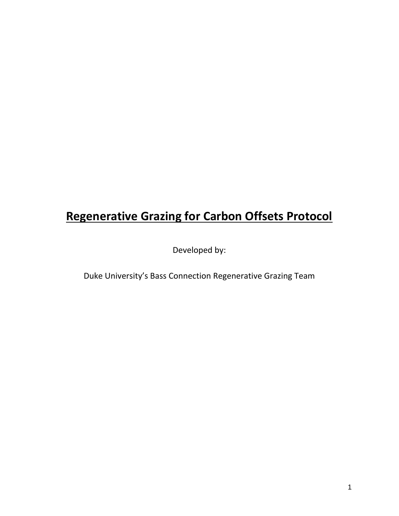# **Regenerative Grazing for Carbon Offsets Protocol**

Developed by:

Duke University's Bass Connection Regenerative Grazing Team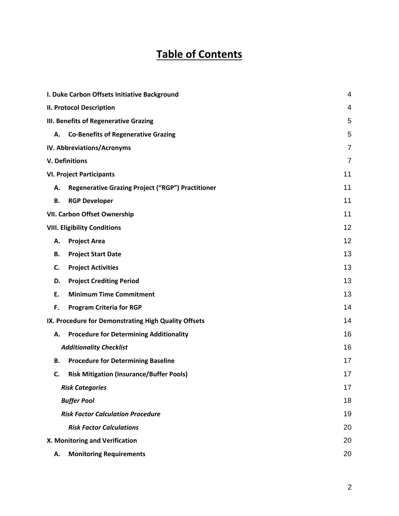# **Table of Contents**

| I. Duke Carbon Offsets Initiative Background                   |                |  |
|----------------------------------------------------------------|----------------|--|
| <b>II. Protocol Description</b>                                | 4              |  |
| III. Benefits of Regenerative Grazing                          |                |  |
| <b>Co-Benefits of Regenerative Grazing</b><br>А.               | 5              |  |
| IV. Abbreviations/Acronyms                                     | 7              |  |
| <b>V. Definitions</b>                                          | $\overline{7}$ |  |
| <b>VI. Project Participants</b>                                | 11             |  |
| <b>Regenerative Grazing Project ("RGP") Practitioner</b><br>А. | 11             |  |
| <b>RGP Developer</b><br>В.                                     | 11             |  |
| <b>VII. Carbon Offset Ownership</b>                            | 11             |  |
| <b>VIII. Eligibility Conditions</b>                            | 12             |  |
| <b>Project Area</b><br>Α.                                      | 12             |  |
| <b>Project Start Date</b><br>В.                                | 13             |  |
| <b>Project Activities</b><br>C.                                | 13             |  |
| <b>Project Crediting Period</b><br>D.                          | 13             |  |
| <b>Minimum Time Commitment</b><br>Ε.                           | 13             |  |
| F.<br><b>Program Criteria for RGP</b>                          | 14             |  |
| IX. Procedure for Demonstrating High Quality Offsets           | 14             |  |
| <b>Procedure for Determining Additionality</b><br>Α.           | 16             |  |
| <b>Additionality Checklist</b>                                 | 16             |  |
| <b>Procedure for Determining Baseline</b><br>В.                | 17             |  |
| <b>Risk Mitigation (Insurance/Buffer Pools)</b><br>C.          | 17             |  |
| <b>Risk Categories</b>                                         | 17             |  |
| <b>Buffer Pool</b>                                             | 18             |  |
| <b>Risk Factor Calculation Procedure</b>                       | 19             |  |
| <b>Risk Factor Calculations</b>                                | 20             |  |
| X. Monitoring and Verification                                 | 20             |  |
| <b>Monitoring Requirements</b><br>Α.                           | 20             |  |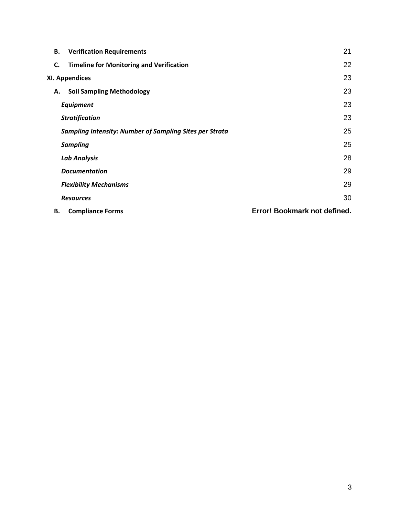| В. | 21<br><b>Verification Requirements</b>                               |                              |  |  |
|----|----------------------------------------------------------------------|------------------------------|--|--|
| C. | <b>Timeline for Monitoring and Verification</b>                      | 22                           |  |  |
|    | XI. Appendices                                                       |                              |  |  |
| А. | <b>Soil Sampling Methodology</b>                                     | 23                           |  |  |
|    | <b>Equipment</b>                                                     | 23                           |  |  |
|    | 23<br><b>Stratification</b>                                          |                              |  |  |
|    | 25<br><b>Sampling Intensity: Number of Sampling Sites per Strata</b> |                              |  |  |
|    | 25<br><b>Sampling</b>                                                |                              |  |  |
|    | 28<br><b>Lab Analysis</b>                                            |                              |  |  |
|    | 29<br><b>Documentation</b>                                           |                              |  |  |
|    | 29<br><b>Flexibility Mechanisms</b>                                  |                              |  |  |
|    | <b>Resources</b>                                                     | 30                           |  |  |
| В. | <b>Compliance Forms</b>                                              | Error! Bookmark not defined. |  |  |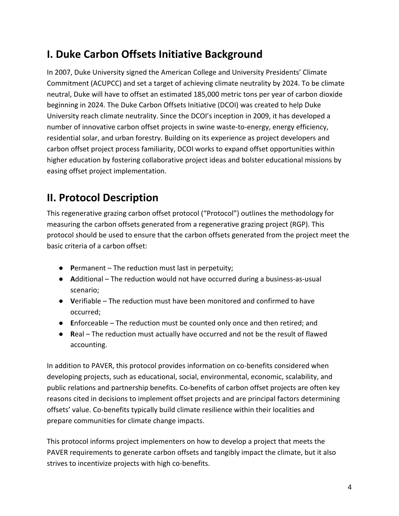# <span id="page-3-0"></span>**I. Duke Carbon Offsets Initiative Background**

In 2007, Duke University signed the American College and University Presidents' Climate Commitment (ACUPCC) and set a target of achieving climate neutrality by 2024. To be climate neutral, Duke will have to offset an estimated 185,000 metric tons per year of carbon dioxide beginning in 2024. The Duke Carbon Offsets Initiative (DCOI) was created to help Duke University reach climate neutrality. Since the DCOI's inception in 2009, it has developed a number of innovative carbon offset projects in swine waste-to-energy, energy efficiency, residential solar, and urban forestry. Building on its experience as project developers and carbon offset project process familiarity, DCOI works to expand offset opportunities within higher education by fostering collaborative project ideas and bolster educational missions by easing offset project implementation.

# <span id="page-3-1"></span>**II. Protocol Description**

This regenerative grazing carbon offset protocol ("Protocol") outlines the methodology for measuring the carbon offsets generated from a regenerative grazing project (RGP). This protocol should be used to ensure that the carbon offsets generated from the project meet the basic criteria of a carbon offset:

- **P**ermanent The reduction must last in perpetuity;
- **A**dditional The reduction would not have occurred during a business-as-usual scenario;
- **V**erifiable The reduction must have been monitored and confirmed to have occurred;
- **E**nforceable The reduction must be counted only once and then retired; and
- **R**eal The reduction must actually have occurred and not be the result of flawed accounting.

In addition to PAVER, this protocol provides information on co-benefits considered when developing projects, such as educational, social, environmental, economic, scalability, and public relations and partnership benefits. Co-benefits of carbon offset projects are often key reasons cited in decisions to implement offset projects and are principal factors determining offsets' value. Co-benefits typically build climate resilience within their localities and prepare communities for climate change impacts.

This protocol informs project implementers on how to develop a project that meets the PAVER requirements to generate carbon offsets and tangibly impact the climate, but it also strives to incentivize projects with high co-benefits.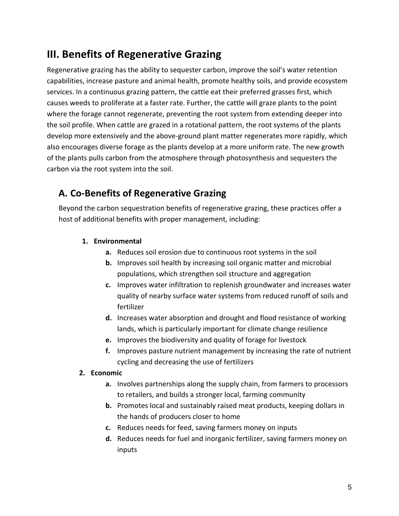# <span id="page-4-0"></span>**III. Benefits of Regenerative Grazing**

Regenerative grazing has the ability to sequester carbon, improve the soil's water retention capabilities, increase pasture and animal health, promote healthy soils, and provide ecosystem services. In a continuous grazing pattern, the cattle eat their preferred grasses first, which causes weeds to proliferate at a faster rate. Further, the cattle will graze plants to the point where the forage cannot regenerate, preventing the root system from extending deeper into the soil profile. When cattle are grazed in a rotational pattern, the root systems of the plants develop more extensively and the above-ground plant matter regenerates more rapidly, which also encourages diverse forage as the plants develop at a more uniform rate. The new growth of the plants pulls carbon from the atmosphere through photosynthesis and sequesters the carbon via the root system into the soil.

## <span id="page-4-1"></span>**A. Co-Benefits of Regenerative Grazing**

Beyond the carbon sequestration benefits of regenerative grazing, these practices offer a host of additional benefits with proper management, including:

#### **1. Environmental**

- **a.** Reduces soil erosion due to continuous root systems in the soil
- **b.** Improves soil health by increasing soil organic matter and microbial populations, which strengthen soil structure and aggregation
- **c.** Improves water infiltration to replenish groundwater and increases water quality of nearby surface water systems from reduced runoff of soils and fertilizer
- **d.** Increases water absorption and drought and flood resistance of working lands, which is particularly important for climate change resilience
- **e.** Improves the biodiversity and quality of forage for livestock
- **f.** Improves pasture nutrient management by increasing the rate of nutrient cycling and decreasing the use of fertilizers

#### **2. Economic**

- **a.** Involves partnerships along the supply chain, from farmers to processors to retailers, and builds a stronger local, farming community
- **b.** Promotes local and sustainably raised meat products, keeping dollars in the hands of producers closer to home
- **c.** Reduces needs for feed, saving farmers money on inputs
- **d.** Reduces needs for fuel and inorganic fertilizer, saving farmers money on inputs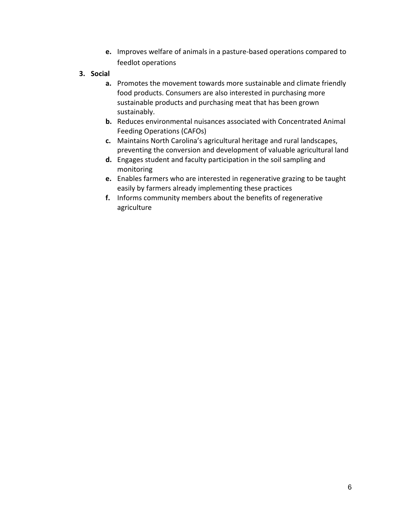- **e.** Improves welfare of animals in a pasture-based operations compared to feedlot operations
- **3. Social** 
	- **a.** Promotes the movement towards more sustainable and climate friendly food products. Consumers are also interested in purchasing more sustainable products and purchasing meat that has been grown sustainably.
	- **b.** Reduces environmental nuisances associated with Concentrated Animal Feeding Operations (CAFOs)
	- **c.** Maintains North Carolina's agricultural heritage and rural landscapes, preventing the conversion and development of valuable agricultural land
	- **d.** Engages student and faculty participation in the soil sampling and monitoring
	- **e.** Enables farmers who are interested in regenerative grazing to be taught easily by farmers already implementing these practices
	- **f.** Informs community members about the benefits of regenerative agriculture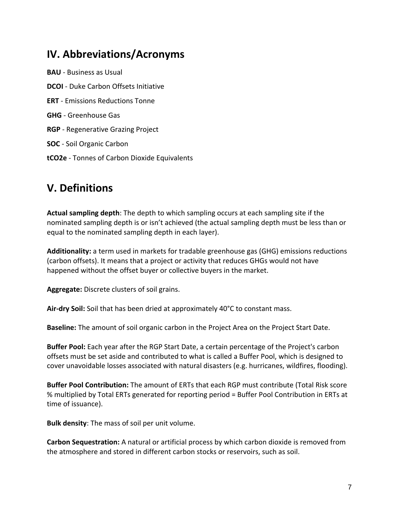# <span id="page-6-0"></span>**IV. Abbreviations/Acronyms**

**BAU** - Business as Usual **DCOI** - Duke Carbon Offsets Initiative **ERT** - Emissions Reductions Tonne **GHG** - Greenhouse Gas **RGP** - Regenerative Grazing Project **SOC** - Soil Organic Carbon **tCO2e** - Tonnes of Carbon Dioxide Equivalents

# <span id="page-6-1"></span>**V. Definitions**

**Actual sampling depth**: The depth to which sampling occurs at each sampling site if the nominated sampling depth is or isn't achieved (the actual sampling depth must be less than or equal to the nominated sampling depth in each layer).

**Additionality:** a term used in markets for tradable greenhouse gas (GHG) emissions reductions (carbon offsets). It means that a project or activity that reduces GHGs would not have happened without the offset buyer or collective buyers in the market.

**Aggregate:** Discrete clusters of soil grains.

**Air-dry Soil:** Soil that has been dried at approximately 40°C to constant mass.

**Baseline:** The amount of soil organic carbon in the Project Area on the Project Start Date.

**Buffer Pool:** Each year after the RGP Start Date, a certain percentage of the Project's carbon offsets must be set aside and contributed to what is called a Buffer Pool, which is designed to cover unavoidable losses associated with natural disasters (e.g. hurricanes, wildfires, flooding).

**Buffer Pool Contribution:** The amount of ERTs that each RGP must contribute (Total Risk score % multiplied by Total ERTs generated for reporting period = Buffer Pool Contribution in ERTs at time of issuance).

**Bulk density**: The mass of soil per unit volume.

**Carbon Sequestration:** A natural or artificial process by which carbon dioxide is removed from the atmosphere and stored in different carbon stocks or reservoirs, such as soil.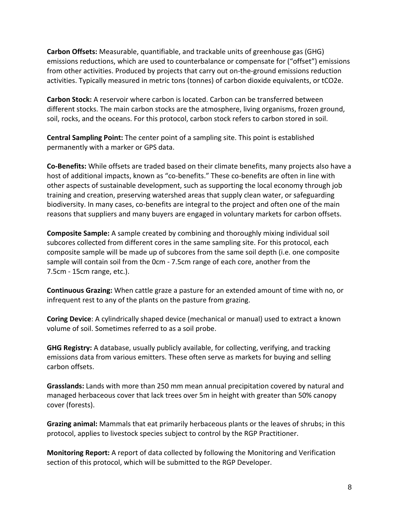**Carbon Offsets:** Measurable, quantifiable, and trackable units of greenhouse gas (GHG) emissions reductions, which are used to counterbalance or compensate for ("offset") emissions from other activities. Produced by projects that carry out on-the-ground emissions reduction activities. Typically measured in metric tons (tonnes) of carbon dioxide equivalents, or tCO2e.

**Carbon Stock:** A reservoir where carbon is located. Carbon can be transferred between different stocks. The main carbon stocks are the atmosphere, living organisms, frozen ground, soil, rocks, and the oceans. For this protocol, carbon stock refers to carbon stored in soil.

**Central Sampling Point:** The center point of a sampling site. This point is established permanently with a marker or GPS data.

**Co-Benefits:** While offsets are traded based on their climate benefits, many projects also have a host of additional impacts, known as "co-benefits." These co-benefits are often in line with other aspects of sustainable development, such as supporting the local economy through job training and creation, preserving watershed areas that supply clean water, or safeguarding biodiversity. In many cases, co-benefits are integral to the project and often one of the main reasons that suppliers and many buyers are engaged in voluntary markets for carbon offsets.

**Composite Sample:** A sample created by combining and thoroughly mixing individual soil subcores collected from different cores in the same sampling site. For this protocol, each composite sample will be made up of subcores from the same soil depth (i.e. one composite sample will contain soil from the 0cm - 7.5cm range of each core, another from the 7.5cm - 15cm range, etc.).

**Continuous Grazing:** When cattle graze a pasture for an extended amount of time with no, or infrequent rest to any of the plants on the pasture from grazing.

**Coring Device**: A cylindrically shaped device (mechanical or manual) used to extract a known volume of soil. Sometimes referred to as a soil probe.

**GHG Registry:** A database, usually publicly available, for collecting, verifying, and tracking emissions data from various emitters. These often serve as markets for buying and selling carbon offsets.

**Grasslands:** Lands with more than 250 mm mean annual precipitation covered by natural and managed herbaceous cover that lack trees over 5m in height with greater than 50% canopy cover (forests).

**Grazing animal:** Mammals that eat primarily herbaceous plants or the leaves of shrubs; in this protocol, applies to livestock species subject to control by the RGP Practitioner.

**Monitoring Report:** A report of data collected by following the Monitoring and Verification section of this protocol, which will be submitted to the RGP Developer.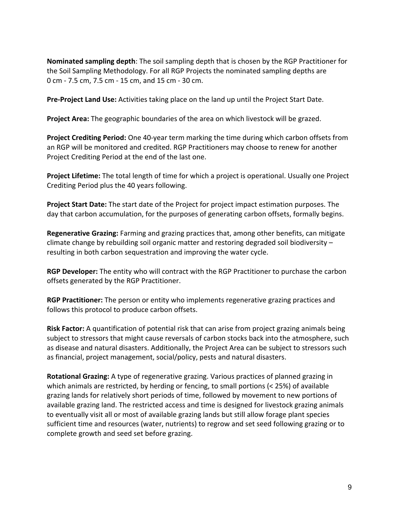**Nominated sampling depth**: The soil sampling depth that is chosen by the RGP Practitioner for the Soil Sampling Methodology. For all RGP Projects the nominated sampling depths are 0 cm - 7.5 cm, 7.5 cm - 15 cm, and 15 cm - 30 cm.

**Pre-Project Land Use:** Activities taking place on the land up until the Project Start Date.

**Project Area:** The geographic boundaries of the area on which livestock will be grazed.

**Project Crediting Period:** One 40-year term marking the time during which carbon offsets from an RGP will be monitored and credited. RGP Practitioners may choose to renew for another Project Crediting Period at the end of the last one.

**Project Lifetime:** The total length of time for which a project is operational. Usually one Project Crediting Period plus the 40 years following.

**Project Start Date:** The start date of the Project for project impact estimation purposes. The day that carbon accumulation, for the purposes of generating carbon offsets, formally begins.

**Regenerative Grazing:** Farming and grazing practices that, among other benefits, can mitigate climate change by rebuilding soil organic matter and restoring degraded soil biodiversity – resulting in both carbon sequestration and improving the water cycle.

**RGP Developer:** The entity who will contract with the RGP Practitioner to purchase the carbon offsets generated by the RGP Practitioner.

**RGP Practitioner:** The person or entity who implements regenerative grazing practices and follows this protocol to produce carbon offsets.

**Risk Factor:** A quantification of potential risk that can arise from project grazing animals being subject to stressors that might cause reversals of carbon stocks back into the atmosphere, such as disease and natural disasters. Additionally, the Project Area can be subject to stressors such as financial, project management, social/policy, pests and natural disasters.

**Rotational Grazing:** A type of regenerative grazing. Various practices of planned grazing in which animals are restricted, by herding or fencing, to small portions (< 25%) of available grazing lands for relatively short periods of time, followed by movement to new portions of available grazing land. The restricted access and time is designed for livestock grazing animals to eventually visit all or most of available grazing lands but still allow forage plant species sufficient time and resources (water, nutrients) to regrow and set seed following grazing or to complete growth and seed set before grazing.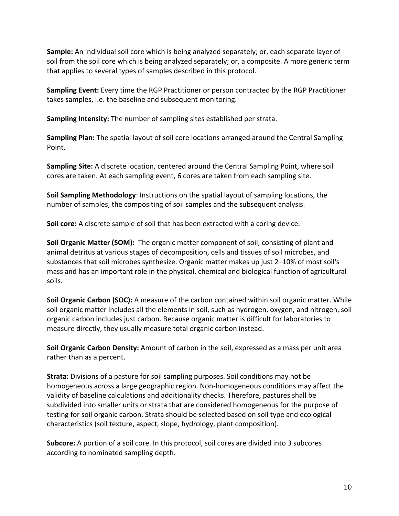**Sample:** An individual soil core which is being analyzed separately; or, each separate layer of soil from the soil core which is being analyzed separately; or, a composite. A more generic term that applies to several types of samples described in this protocol.

**Sampling Event:** Every time the RGP Practitioner or person contracted by the RGP Practitioner takes samples, i.e. the baseline and subsequent monitoring.

**Sampling Intensity:** The number of sampling sites established per strata.

**Sampling Plan:** The spatial layout of soil core locations arranged around the Central Sampling Point.

**Sampling Site:** A discrete location, centered around the Central Sampling Point, where soil cores are taken. At each sampling event, 6 cores are taken from each sampling site.

**Soil Sampling Methodology**: Instructions on the spatial layout of sampling locations, the number of samples, the compositing of soil samples and the subsequent analysis.

**Soil core:** A discrete sample of soil that has been extracted with a coring device.

**Soil Organic Matter (SOM):** The organic matter component of soil, consisting of plant and animal detritus at various stages of decomposition, cells and tissues of soil microbes, and substances that soil microbes synthesize. Organic matter makes up just 2–10% of most soil's mass and has an important role in the physical, chemical and biological function of agricultural soils.

**Soil Organic Carbon (SOC):** A measure of the carbon contained within soil organic matter. While soil organic matter includes all the elements in soil, such as hydrogen, oxygen, and nitrogen, soil organic carbon includes just carbon. Because organic matter is difficult for laboratories to measure directly, they usually measure total organic carbon instead.

**Soil Organic Carbon Density:** Amount of carbon in the soil, expressed as a mass per unit area rather than as a percent.

**Strata:** Divisions of a pasture for soil sampling purposes. Soil conditions may not be homogeneous across a large geographic region. Non-homogeneous conditions may affect the validity of baseline calculations and additionality checks. Therefore, pastures shall be subdivided into smaller units or strata that are considered homogeneous for the purpose of testing for soil organic carbon. Strata should be selected based on soil type and ecological characteristics (soil texture, aspect, slope, hydrology, plant composition).

**Subcore:** A portion of a soil core. In this protocol, soil cores are divided into 3 subcores according to nominated sampling depth.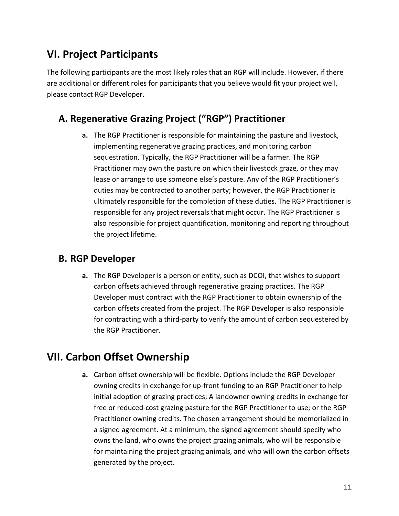# <span id="page-10-0"></span>**VI. Project Participants**

The following participants are the most likely roles that an RGP will include. However, if there are additional or different roles for participants that you believe would fit your project well, please contact RGP Developer.

## <span id="page-10-1"></span>**A. Regenerative Grazing Project ("RGP") Practitioner**

**a.** The RGP Practitioner is responsible for maintaining the pasture and livestock, implementing regenerative grazing practices, and monitoring carbon sequestration. Typically, the RGP Practitioner will be a farmer. The RGP Practitioner may own the pasture on which their livestock graze, or they may lease or arrange to use someone else's pasture. Any of the RGP Practitioner's duties may be contracted to another party; however, the RGP Practitioner is ultimately responsible for the completion of these duties. The RGP Practitioner is responsible for any project reversals that might occur. The RGP Practitioner is also responsible for project quantification, monitoring and reporting throughout the project lifetime.

## <span id="page-10-2"></span>**B. RGP Developer**

**a.** The RGP Developer is a person or entity, such as DCOI, that wishes to support carbon offsets achieved through regenerative grazing practices. The RGP Developer must contract with the RGP Practitioner to obtain ownership of the carbon offsets created from the project. The RGP Developer is also responsible for contracting with a third-party to verify the amount of carbon sequestered by the RGP Practitioner.

# <span id="page-10-3"></span>**VII. Carbon Offset Ownership**

**a.** Carbon offset ownership will be flexible. Options include the RGP Developer owning credits in exchange for up-front funding to an RGP Practitioner to help initial adoption of grazing practices; A landowner owning credits in exchange for free or reduced-cost grazing pasture for the RGP Practitioner to use; or the RGP Practitioner owning credits. The chosen arrangement should be memorialized in a signed agreement. At a minimum, the signed agreement should specify who owns the land, who owns the project grazing animals, who will be responsible for maintaining the project grazing animals, and who will own the carbon offsets generated by the project.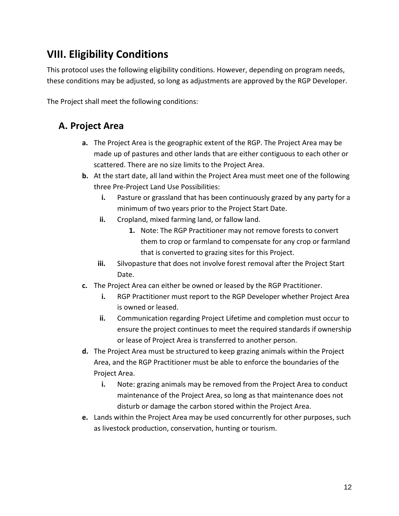# <span id="page-11-0"></span>**VIII. Eligibility Conditions**

This protocol uses the following eligibility conditions. However, depending on program needs, these conditions may be adjusted, so long as adjustments are approved by the RGP Developer.

<span id="page-11-1"></span>The Project shall meet the following conditions:

## **A. Project Area**

- **a.** The Project Area is the geographic extent of the RGP. The Project Area may be made up of pastures and other lands that are either contiguous to each other or scattered. There are no size limits to the Project Area.
- **b.** At the start date, all land within the Project Area must meet one of the following three Pre-Project Land Use Possibilities:
	- **i.** Pasture or grassland that has been continuously grazed by any party for a minimum of two years prior to the Project Start Date.
	- **ii.** Cropland, mixed farming land, or fallow land.
		- **1.** Note: The RGP Practitioner may not remove forests to convert them to crop or farmland to compensate for any crop or farmland that is converted to grazing sites for this Project.
	- **iii.** Silvopasture that does not involve forest removal after the Project Start Date.
- **c.** The Project Area can either be owned or leased by the RGP Practitioner.
	- **i.** RGP Practitioner must report to the RGP Developer whether Project Area is owned or leased.
	- **ii.** Communication regarding Project Lifetime and completion must occur to ensure the project continues to meet the required standards if ownership or lease of Project Area is transferred to another person.
- **d.** The Project Area must be structured to keep grazing animals within the Project Area, and the RGP Practitioner must be able to enforce the boundaries of the Project Area.
	- **i.** Note: grazing animals may be removed from the Project Area to conduct maintenance of the Project Area, so long as that maintenance does not disturb or damage the carbon stored within the Project Area.
- **e.** Lands within the Project Area may be used concurrently for other purposes, such as livestock production, conservation, hunting or tourism.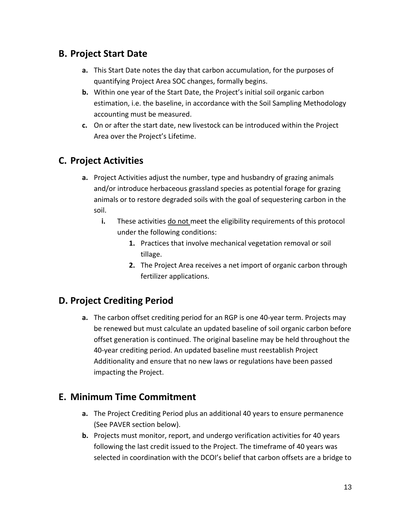## <span id="page-12-0"></span>**B. Project Start Date**

- **a.** This Start Date notes the day that carbon accumulation, for the purposes of quantifying Project Area SOC changes, formally begins.
- **b.** Within one year of the Start Date, the Project's initial soil organic carbon estimation, i.e. the baseline, in accordance with the Soil Sampling Methodology accounting must be measured.
- **c.** On or after the start date, new livestock can be introduced within the Project Area over the Project's Lifetime.

## <span id="page-12-1"></span>**C. Project Activities**

- **a.** Project Activities adjust the number, type and husbandry of grazing animals and/or introduce herbaceous grassland species as potential forage for grazing animals or to restore degraded soils with the goal of sequestering carbon in the soil.
	- **i.** These activities do not meet the eligibility requirements of this protocol under the following conditions:
		- **1.** Practices that involve mechanical vegetation removal or soil tillage.
		- **2.** The Project Area receives a net import of organic carbon through fertilizer applications.

# <span id="page-12-2"></span>**D. Project Crediting Period**

**a.** The carbon offset crediting period for an RGP is one 40-year term. Projects may be renewed but must calculate an updated baseline of soil organic carbon before offset generation is continued. The original baseline may be held throughout the 40-year crediting period. An updated baseline must reestablish Project Additionality and ensure that no new laws or regulations have been passed impacting the Project.

## <span id="page-12-3"></span>**E. Minimum Time Commitment**

- **a.** The Project Crediting Period plus an additional 40 years to ensure permanence (See PAVER section below).
- **b.** Projects must monitor, report, and undergo verification activities for 40 years following the last credit issued to the Project. The timeframe of 40 years was selected in coordination with the DCOI's belief that carbon offsets are a bridge to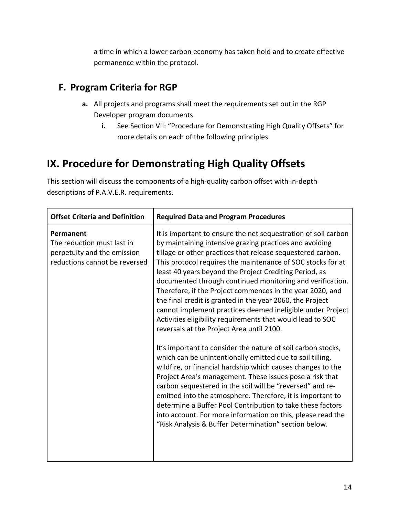a time in which a lower carbon economy has taken hold and to create effective permanence within the protocol.

## <span id="page-13-0"></span>**F. Program Criteria for RGP**

- **a.** All projects and programs shall meet the requirements set out in the RGP Developer program documents.
	- **i.** See Section VII: "Procedure for Demonstrating High Quality Offsets" for more details on each of the following principles.

# <span id="page-13-1"></span>**IX. Procedure for Demonstrating High Quality Offsets**

This section will discuss the components of a high-quality carbon offset with in-depth descriptions of P.A.V.E.R. requirements.

| <b>Offset Criteria and Definition</b>                                                                   | <b>Required Data and Program Procedures</b>                                                                                                                                                                                                                                                                                                                                                                                                                                                                                                                                                                                                                                                                                                                                                                                                                                                                                                                                                                                                                                                                                                                                                                                                                |
|---------------------------------------------------------------------------------------------------------|------------------------------------------------------------------------------------------------------------------------------------------------------------------------------------------------------------------------------------------------------------------------------------------------------------------------------------------------------------------------------------------------------------------------------------------------------------------------------------------------------------------------------------------------------------------------------------------------------------------------------------------------------------------------------------------------------------------------------------------------------------------------------------------------------------------------------------------------------------------------------------------------------------------------------------------------------------------------------------------------------------------------------------------------------------------------------------------------------------------------------------------------------------------------------------------------------------------------------------------------------------|
| Permanent<br>The reduction must last in<br>perpetuity and the emission<br>reductions cannot be reversed | It is important to ensure the net sequestration of soil carbon<br>by maintaining intensive grazing practices and avoiding<br>tillage or other practices that release sequestered carbon.<br>This protocol requires the maintenance of SOC stocks for at<br>least 40 years beyond the Project Crediting Period, as<br>documented through continued monitoring and verification.<br>Therefore, if the Project commences in the year 2020, and<br>the final credit is granted in the year 2060, the Project<br>cannot implement practices deemed ineligible under Project<br>Activities eligibility requirements that would lead to SOC<br>reversals at the Project Area until 2100.<br>It's important to consider the nature of soil carbon stocks,<br>which can be unintentionally emitted due to soil tilling,<br>wildfire, or financial hardship which causes changes to the<br>Project Area's management. These issues pose a risk that<br>carbon sequestered in the soil will be "reversed" and re-<br>emitted into the atmosphere. Therefore, it is important to<br>determine a Buffer Pool Contribution to take these factors<br>into account. For more information on this, please read the<br>"Risk Analysis & Buffer Determination" section below. |
|                                                                                                         |                                                                                                                                                                                                                                                                                                                                                                                                                                                                                                                                                                                                                                                                                                                                                                                                                                                                                                                                                                                                                                                                                                                                                                                                                                                            |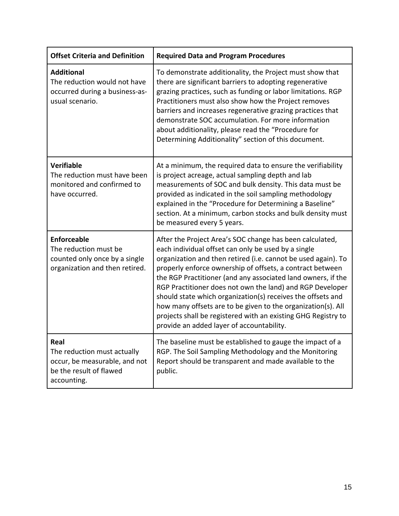| <b>Offset Criteria and Definition</b>                                                                          | <b>Required Data and Program Procedures</b>                                                                                                                                                                                                                                                                                                                                                                                                                                                                                                                                                                             |
|----------------------------------------------------------------------------------------------------------------|-------------------------------------------------------------------------------------------------------------------------------------------------------------------------------------------------------------------------------------------------------------------------------------------------------------------------------------------------------------------------------------------------------------------------------------------------------------------------------------------------------------------------------------------------------------------------------------------------------------------------|
| <b>Additional</b><br>The reduction would not have<br>occurred during a business-as-<br>usual scenario.         | To demonstrate additionality, the Project must show that<br>there are significant barriers to adopting regenerative<br>grazing practices, such as funding or labor limitations. RGP<br>Practitioners must also show how the Project removes<br>barriers and increases regenerative grazing practices that<br>demonstrate SOC accumulation. For more information<br>about additionality, please read the "Procedure for<br>Determining Additionality" section of this document.                                                                                                                                          |
| <b>Verifiable</b><br>The reduction must have been<br>monitored and confirmed to<br>have occurred.              | At a minimum, the required data to ensure the verifiability<br>is project acreage, actual sampling depth and lab<br>measurements of SOC and bulk density. This data must be<br>provided as indicated in the soil sampling methodology<br>explained in the "Procedure for Determining a Baseline"<br>section. At a minimum, carbon stocks and bulk density must<br>be measured every 5 years.                                                                                                                                                                                                                            |
| <b>Enforceable</b><br>The reduction must be<br>counted only once by a single<br>organization and then retired. | After the Project Area's SOC change has been calculated,<br>each individual offset can only be used by a single<br>organization and then retired (i.e. cannot be used again). To<br>properly enforce ownership of offsets, a contract between<br>the RGP Practitioner (and any associated land owners, if the<br>RGP Practitioner does not own the land) and RGP Developer<br>should state which organization(s) receives the offsets and<br>how many offsets are to be given to the organization(s). All<br>projects shall be registered with an existing GHG Registry to<br>provide an added layer of accountability. |
| Real<br>The reduction must actually<br>occur, be measurable, and not<br>be the result of flawed<br>accounting. | The baseline must be established to gauge the impact of a<br>RGP. The Soil Sampling Methodology and the Monitoring<br>Report should be transparent and made available to the<br>public.                                                                                                                                                                                                                                                                                                                                                                                                                                 |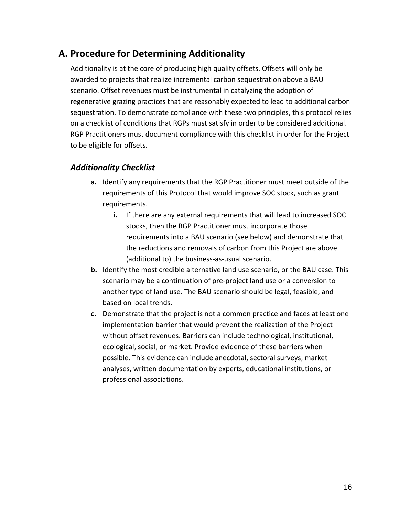## <span id="page-15-0"></span>**A. Procedure for Determining Additionality**

Additionality is at the core of producing high quality offsets. Offsets will only be awarded to projects that realize incremental carbon sequestration above a BAU scenario. Offset revenues must be instrumental in catalyzing the adoption of regenerative grazing practices that are reasonably expected to lead to additional carbon sequestration. To demonstrate compliance with these two principles, this protocol relies on a checklist of conditions that RGPs must satisfy in order to be considered additional. RGP Practitioners must document compliance with this checklist in order for the Project to be eligible for offsets.

### <span id="page-15-1"></span>*Additionality Checklist*

- **a.** Identify any requirements that the RGP Practitioner must meet outside of the requirements of this Protocol that would improve SOC stock, such as grant requirements.
	- **i.** If there are any external requirements that will lead to increased SOC stocks, then the RGP Practitioner must incorporate those requirements into a BAU scenario (see below) and demonstrate that the reductions and removals of carbon from this Project are above (additional to) the business-as-usual scenario.
- **b.** Identify the most credible alternative land use scenario, or the BAU case. This scenario may be a continuation of pre-project land use or a conversion to another type of land use. The BAU scenario should be legal, feasible, and based on local trends.
- **c.** Demonstrate that the project is not a common practice and faces at least one implementation barrier that would prevent the realization of the Project without offset revenues. Barriers can include technological, institutional, ecological, social, or market. Provide evidence of these barriers when possible. This evidence can include anecdotal, sectoral surveys, market analyses, written documentation by experts, educational institutions, or professional associations.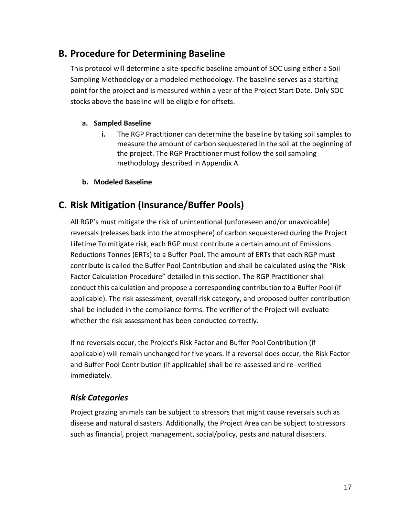## <span id="page-16-0"></span>**B. Procedure for Determining Baseline**

This protocol will determine a site-specific baseline amount of SOC using either a Soil Sampling Methodology or a modeled methodology. The baseline serves as a starting point for the project and is measured within a year of the Project Start Date. Only SOC stocks above the baseline will be eligible for offsets.

#### **a. Sampled Baseline**

**i.** The RGP Practitioner can determine the baseline by taking soil samples to measure the amount of carbon sequestered in the soil at the beginning of the project. The RGP Practitioner must follow the soil sampling methodology described in Appendix A.

#### **b. Modeled Baseline**

## <span id="page-16-1"></span>**C. Risk Mitigation (Insurance/Buffer Pools)**

All RGP's must mitigate the risk of unintentional (unforeseen and/or unavoidable) reversals (releases back into the atmosphere) of carbon sequestered during the Project Lifetime To mitigate risk, each RGP must contribute a certain amount of Emissions Reductions Tonnes (ERTs) to a Buffer Pool. The amount of ERTs that each RGP must contribute is called the Buffer Pool Contribution and shall be calculated using the "Risk Factor Calculation Procedure" detailed in this section. The RGP Practitioner shall conduct this calculation and propose a corresponding contribution to a Buffer Pool (if applicable). The risk assessment, overall risk category, and proposed buffer contribution shall be included in the compliance forms. The verifier of the Project will evaluate whether the risk assessment has been conducted correctly.

If no reversals occur, the Project's Risk Factor and Buffer Pool Contribution (if applicable) will remain unchanged for five years. If a reversal does occur, the Risk Factor and Buffer Pool Contribution (if applicable) shall be re-assessed and re- verified immediately.

### <span id="page-16-2"></span>*Risk Categories*

Project grazing animals can be subject to stressors that might cause reversals such as disease and natural disasters. Additionally, the Project Area can be subject to stressors such as financial, project management, social/policy, pests and natural disasters.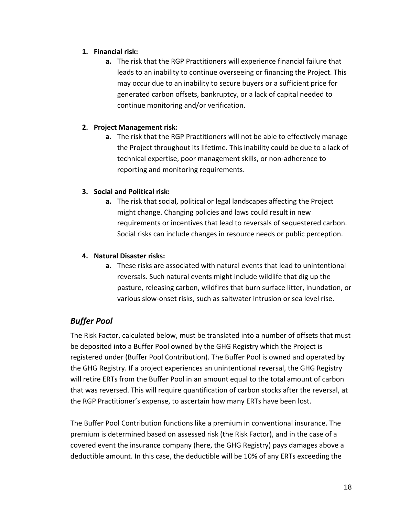#### **1. Financial risk:**

**a.** The risk that the RGP Practitioners will experience financial failure that leads to an inability to continue overseeing or financing the Project. This may occur due to an inability to secure buyers or a sufficient price for generated carbon offsets, bankruptcy, or a lack of capital needed to continue monitoring and/or verification.

#### **2. Project Management risk:**

**a.** The risk that the RGP Practitioners will not be able to effectively manage the Project throughout its lifetime. This inability could be due to a lack of technical expertise, poor management skills, or non-adherence to reporting and monitoring requirements.

#### **3. Social and Political risk:**

**a.** The risk that social, political or legal landscapes affecting the Project might change. Changing policies and laws could result in new requirements or incentives that lead to reversals of sequestered carbon. Social risks can include changes in resource needs or public perception.

#### **4. Natural Disaster risks:**

**a.** These risks are associated with natural events that lead to unintentional reversals. Such natural events might include wildlife that dig up the pasture, releasing carbon, wildfires that burn surface litter, inundation, or various slow-onset risks, such as saltwater intrusion or sea level rise.

## <span id="page-17-0"></span>*Buffer Pool*

The Risk Factor, calculated below, must be translated into a number of offsets that must be deposited into a Buffer Pool owned by the GHG Registry which the Project is registered under (Buffer Pool Contribution). The Buffer Pool is owned and operated by the GHG Registry. If a project experiences an unintentional reversal, the GHG Registry will retire ERTs from the Buffer Pool in an amount equal to the total amount of carbon that was reversed. This will require quantification of carbon stocks after the reversal, at the RGP Practitioner's expense, to ascertain how many ERTs have been lost.

The Buffer Pool Contribution functions like a premium in conventional insurance. The premium is determined based on assessed risk (the Risk Factor), and in the case of a covered event the insurance company (here, the GHG Registry) pays damages above a deductible amount. In this case, the deductible will be 10% of any ERTs exceeding the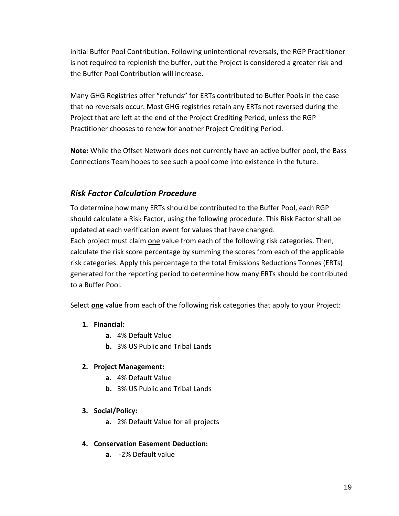initial Buffer Pool Contribution. Following unintentional reversals, the RGP Practitioner is not required to replenish the buffer, but the Project is considered a greater risk and the Buffer Pool Contribution will increase.

Many GHG Registries offer "refunds" for ERTs contributed to Buffer Pools in the case that no reversals occur. Most GHG registries retain any ERTs not reversed during the Project that are left at the end of the Project Crediting Period, unless the RGP Practitioner chooses to renew for another Project Crediting Period.

**Note:** While the Offset Network does not currently have an active buffer pool, the Bass Connections Team hopes to see such a pool come into existence in the future.

## <span id="page-18-0"></span>*Risk Factor Calculation Procedure*

To determine how many ERTs should be contributed to the Buffer Pool, each RGP should calculate a Risk Factor, using the following procedure. This Risk Factor shall be updated at each verification event for values that have changed. Each project must claim one value from each of the following risk categories. Then, calculate the risk score percentage by summing the scores from each of the applicable risk categories. Apply this percentage to the total Emissions Reductions Tonnes (ERTs) generated for the reporting period to determine how many ERTs should be contributed to a Buffer Pool.

Select **one** value from each of the following risk categories that apply to your Project:

#### **1. Financial:**

- **a.** 4% Default Value
- **b.** 3% US Public and Tribal Lands

#### **2. Project Management:**

- **a.** 4% Default Value
- **b.** 3% US Public and Tribal Lands

#### **3. Social/Policy:**

**a.** 2% Default Value for all projects

#### **4. Conservation Easement Deduction:**

**a.** -2% Default value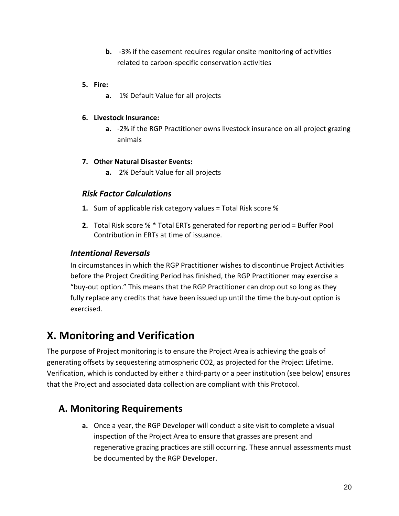**b.** -3% if the easement requires regular onsite monitoring of activities related to carbon-specific conservation activities

#### **5. Fire:**

**a.** 1% Default Value for all projects

#### **6. Livestock Insurance:**

**a.** -2% if the RGP Practitioner owns livestock insurance on all project grazing animals

#### **7. Other Natural Disaster Events:**

**a.** 2% Default Value for all projects

### <span id="page-19-0"></span>*Risk Factor Calculations*

- **1.** Sum of applicable risk category values = Total Risk score %
- **2.** Total Risk score % \* Total ERTs generated for reporting period = Buffer Pool Contribution in ERTs at time of issuance.

### *Intentional Reversals*

In circumstances in which the RGP Practitioner wishes to discontinue Project Activities before the Project Crediting Period has finished, the RGP Practitioner may exercise a "buy-out option." This means that the RGP Practitioner can drop out so long as they fully replace any credits that have been issued up until the time the buy-out option is exercised.

# <span id="page-19-1"></span>**X. Monitoring and Verification**

The purpose of Project monitoring is to ensure the Project Area is achieving the goals of generating offsets by sequestering atmospheric CO2, as projected for the Project Lifetime. Verification, which is conducted by either a third-party or a peer institution (see below) ensures that the Project and associated data collection are compliant with this Protocol.

## <span id="page-19-2"></span>**A. Monitoring Requirements**

**a.** Once a year, the RGP Developer will conduct a site visit to complete a visual inspection of the Project Area to ensure that grasses are present and regenerative grazing practices are still occurring. These annual assessments must be documented by the RGP Developer.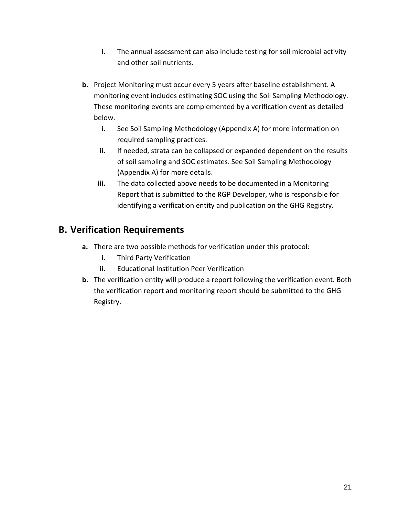- **i.** The annual assessment can also include testing for soil microbial activity and other soil nutrients.
- **b.** Project Monitoring must occur every 5 years after baseline establishment. A monitoring event includes estimating SOC using the Soil Sampling Methodology. These monitoring events are complemented by a verification event as detailed below.
	- **i.** See Soil Sampling Methodology (Appendix A) for more information on required sampling practices.
	- **ii.** If needed, strata can be collapsed or expanded dependent on the results of soil sampling and SOC estimates. See Soil Sampling Methodology (Appendix A) for more details.
	- **iii.** The data collected above needs to be documented in a Monitoring Report that is submitted to the RGP Developer, who is responsible for identifying a verification entity and publication on the GHG Registry.

## <span id="page-20-0"></span>**B. Verification Requirements**

- **a.** There are two possible methods for verification under this protocol:
	- **i.** Third Party Verification
	- **ii.** Educational Institution Peer Verification
- **b.** The verification entity will produce a report following the verification event. Both the verification report and monitoring report should be submitted to the GHG Registry.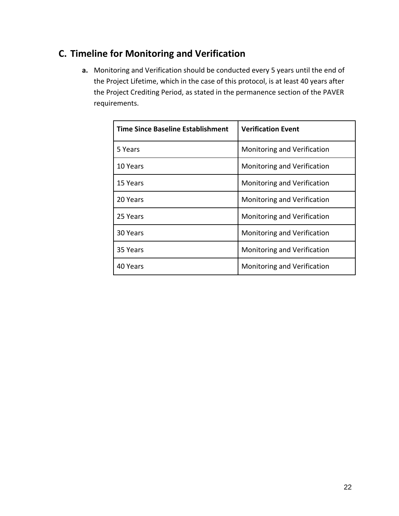# <span id="page-21-0"></span>**C. Timeline for Monitoring and Verification**

**a.** Monitoring and Verification should be conducted every 5 years until the end of the Project Lifetime, which in the case of this protocol, is at least 40 years after the Project Crediting Period, as stated in the permanence section of the PAVER requirements.

| Time Since Baseline Establishment | <b>Verification Event</b>   |
|-----------------------------------|-----------------------------|
| 5 Years                           | Monitoring and Verification |
| 10 Years                          | Monitoring and Verification |
| 15 Years                          | Monitoring and Verification |
| 20 Years                          | Monitoring and Verification |
| 25 Years                          | Monitoring and Verification |
| 30 Years                          | Monitoring and Verification |
| 35 Years                          | Monitoring and Verification |
| 40 Years                          | Monitoring and Verification |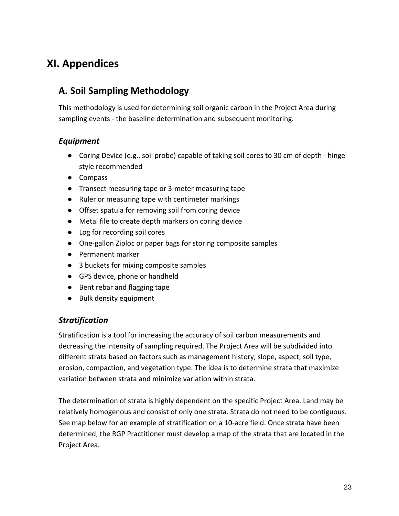# <span id="page-22-0"></span>**XI. Appendices**

## <span id="page-22-1"></span>**A. Soil Sampling Methodology**

This methodology is used for determining soil organic carbon in the Project Area during sampling events - the baseline determination and subsequent monitoring.

### <span id="page-22-2"></span>*Equipment*

- Coring Device (e.g., soil probe) capable of taking soil cores to 30 cm of depth hinge style recommended
- Compass
- Transect measuring tape or 3-meter measuring tape
- Ruler or measuring tape with centimeter markings
- Offset spatula for removing soil from coring device
- Metal file to create depth markers on coring device
- Log for recording soil cores
- One-gallon Ziploc or paper bags for storing composite samples
- Permanent marker
- 3 buckets for mixing composite samples
- GPS device, phone or handheld
- Bent rebar and flagging tape
- Bulk density equipment

### <span id="page-22-3"></span>*Stratification*

Stratification is a tool for increasing the accuracy of soil carbon measurements and decreasing the intensity of sampling required. The Project Area will be subdivided into different strata based on factors such as management history, slope, aspect, soil type, erosion, compaction, and vegetation type. The idea is to determine strata that maximize variation between strata and minimize variation within strata.

The determination of strata is highly dependent on the specific Project Area. Land may be relatively homogenous and consist of only one strata. Strata do not need to be contiguous. See map below for an example of stratification on a 10-acre field. Once strata have been determined, the RGP Practitioner must develop a map of the strata that are located in the Project Area.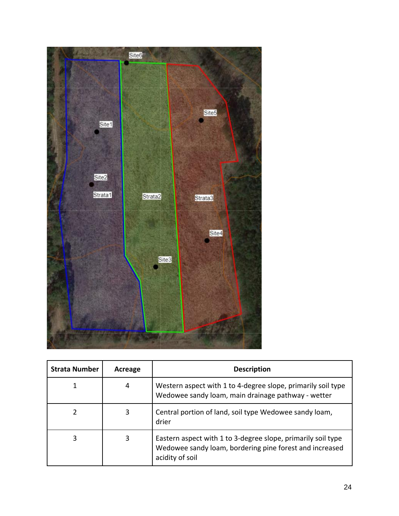

| <b>Strata Number</b> | Acreage | <b>Description</b>                                                                                                                         |
|----------------------|---------|--------------------------------------------------------------------------------------------------------------------------------------------|
|                      | 4       | Western aspect with 1 to 4-degree slope, primarily soil type<br>Wedowee sandy loam, main drainage pathway - wetter                         |
|                      | 3       | Central portion of land, soil type Wedowee sandy loam,<br>drier                                                                            |
| 3                    | 3       | Eastern aspect with 1 to 3-degree slope, primarily soil type<br>Wedowee sandy loam, bordering pine forest and increased<br>acidity of soil |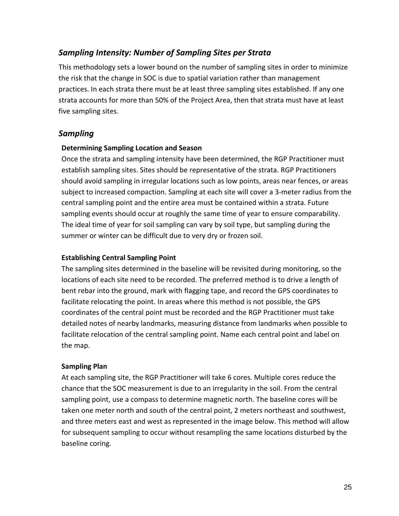### <span id="page-24-0"></span>*Sampling Intensity: Number of Sampling Sites per Strata*

This methodology sets a lower bound on the number of sampling sites in order to minimize the risk that the change in SOC is due to spatial variation rather than management practices. In each strata there must be at least three sampling sites established. If any one strata accounts for more than 50% of the Project Area, then that strata must have at least five sampling sites.

### <span id="page-24-1"></span>*Sampling*

#### **Determining Sampling Location and Season**

Once the strata and sampling intensity have been determined, the RGP Practitioner must establish sampling sites. Sites should be representative of the strata. RGP Practitioners should avoid sampling in irregular locations such as low points, areas near fences, or areas subject to increased compaction. Sampling at each site will cover a 3-meter radius from the central sampling point and the entire area must be contained within a strata. Future sampling events should occur at roughly the same time of year to ensure comparability. The ideal time of year for soil sampling can vary by soil type, but sampling during the summer or winter can be difficult due to very dry or frozen soil.

#### **Establishing Central Sampling Point**

The sampling sites determined in the baseline will be revisited during monitoring, so the locations of each site need to be recorded. The preferred method is to drive a length of bent rebar into the ground, mark with flagging tape, and record the GPS coordinates to facilitate relocating the point. In areas where this method is not possible, the GPS coordinates of the central point must be recorded and the RGP Practitioner must take detailed notes of nearby landmarks, measuring distance from landmarks when possible to facilitate relocation of the central sampling point. Name each central point and label on the map.

#### **Sampling Plan**

At each sampling site, the RGP Practitioner will take 6 cores. Multiple cores reduce the chance that the SOC measurement is due to an irregularity in the soil. From the central sampling point, use a compass to determine magnetic north. The baseline cores will be taken one meter north and south of the central point, 2 meters northeast and southwest, and three meters east and west as represented in the image below. This method will allow for subsequent sampling to occur without resampling the same locations disturbed by the baseline coring.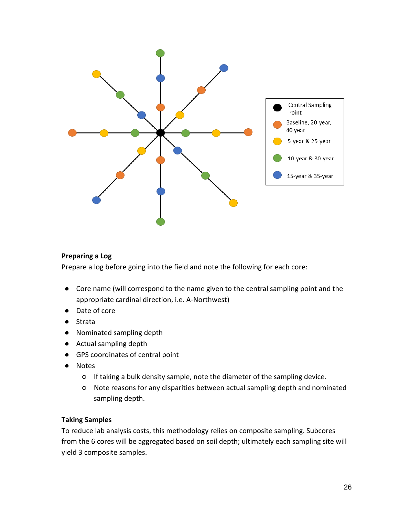

#### **Preparing a Log**

Prepare a log before going into the field and note the following for each core:

- Core name (will correspond to the name given to the central sampling point and the appropriate cardinal direction, i.e. A-Northwest)
- Date of core
- Strata
- Nominated sampling depth
- Actual sampling depth
- GPS coordinates of central point
- Notes
	- If taking a bulk density sample, note the diameter of the sampling device.
	- Note reasons for any disparities between actual sampling depth and nominated sampling depth.

#### **Taking Samples**

To reduce lab analysis costs, this methodology relies on composite sampling. Subcores from the 6 cores will be aggregated based on soil depth; ultimately each sampling site will yield 3 composite samples.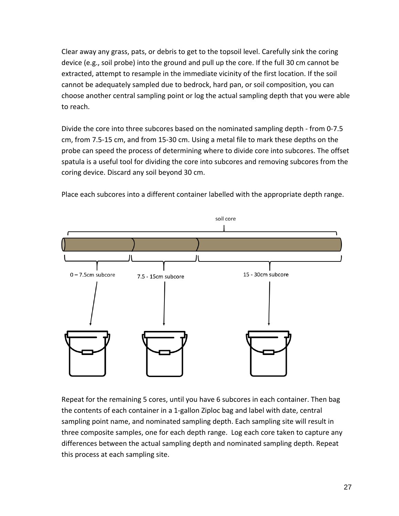Clear away any grass, pats, or debris to get to the topsoil level. Carefully sink the coring device (e.g., soil probe) into the ground and pull up the core. If the full 30 cm cannot be extracted, attempt to resample in the immediate vicinity of the first location. If the soil cannot be adequately sampled due to bedrock, hard pan, or soil composition, you can choose another central sampling point or log the actual sampling depth that you were able to reach.

Divide the core into three subcores based on the nominated sampling depth - from 0-7.5 cm, from 7.5-15 cm, and from 15-30 cm. Using a metal file to mark these depths on the probe can speed the process of determining where to divide core into subcores. The offset spatula is a useful tool for dividing the core into subcores and removing subcores from the coring device. Discard any soil beyond 30 cm.



Place each subcores into a different container labelled with the appropriate depth range.

Repeat for the remaining 5 cores, until you have 6 subcores in each container. Then bag the contents of each container in a 1-gallon Ziploc bag and label with date, central sampling point name, and nominated sampling depth. Each sampling site will result in three composite samples, one for each depth range. Log each core taken to capture any differences between the actual sampling depth and nominated sampling depth. Repeat this process at each sampling site.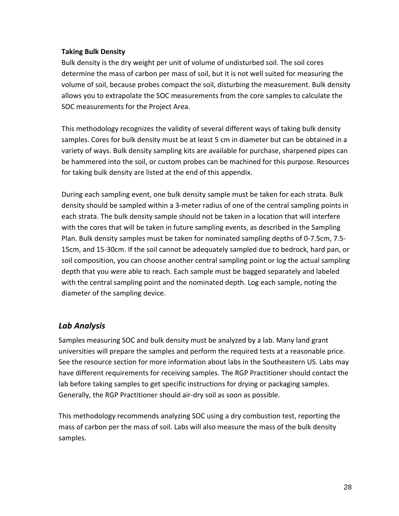#### **Taking Bulk Density**

Bulk density is the dry weight per unit of volume of undisturbed soil. The soil cores determine the mass of carbon per mass of soil, but it is not well suited for measuring the volume of soil, because probes compact the soil, disturbing the measurement. Bulk density allows you to extrapolate the SOC measurements from the core samples to calculate the SOC measurements for the Project Area.

This methodology recognizes the validity of several different ways of taking bulk density samples. Cores for bulk density must be at least 5 cm in diameter but can be obtained in a variety of ways. Bulk density sampling kits are available for purchase, sharpened pipes can be hammered into the soil, or custom probes can be machined for this purpose. Resources for taking bulk density are listed at the end of this appendix.

During each sampling event, one bulk density sample must be taken for each strata. Bulk density should be sampled within a 3-meter radius of one of the central sampling points in each strata. The bulk density sample should not be taken in a location that will interfere with the cores that will be taken in future sampling events, as described in the Sampling Plan. Bulk density samples must be taken for nominated sampling depths of 0-7.5cm, 7.5- 15cm, and 15-30cm. If the soil cannot be adequately sampled due to bedrock, hard pan, or soil composition, you can choose another central sampling point or log the actual sampling depth that you were able to reach. Each sample must be bagged separately and labeled with the central sampling point and the nominated depth. Log each sample, noting the diameter of the sampling device.

### <span id="page-27-0"></span>*Lab Analysis*

Samples measuring SOC and bulk density must be analyzed by a lab. Many land grant universities will prepare the samples and perform the required tests at a reasonable price. See the resource section for more information about labs in the Southeastern US. Labs may have different requirements for receiving samples. The RGP Practitioner should contact the lab before taking samples to get specific instructions for drying or packaging samples. Generally, the RGP Practitioner should air-dry soil as soon as possible.

This methodology recommends analyzing SOC using a dry combustion test, reporting the mass of carbon per the mass of soil. Labs will also measure the mass of the bulk density samples.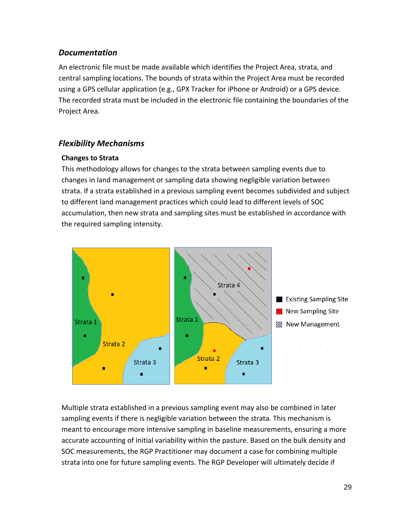### <span id="page-28-0"></span>*Documentation*

An electronic file must be made available which identifies the Project Area, strata, and central sampling locations. The bounds of strata within the Project Area must be recorded using a GPS cellular application (e.g., GPX Tracker for iPhone or Android) or a GPS device. The recorded strata must be included in the electronic file containing the boundaries of the Project Area.

### <span id="page-28-1"></span>*Flexibility Mechanisms*

#### **Changes to Strata**

This methodology allows for changes to the strata between sampling events due to changes in land management or sampling data showing negligible variation between strata. If a strata established in a previous sampling event becomes subdivided and subject to different land management practices which could lead to different levels of SOC accumulation, then new strata and sampling sites must be established in accordance with the required sampling intensity.



Multiple strata established in a previous sampling event may also be combined in later sampling events if there is negligible variation between the strata. This mechanism is meant to encourage more intensive sampling in baseline measurements, ensuring a more accurate accounting of initial variability within the pasture. Based on the bulk density and SOC measurements, the RGP Practitioner may document a case for combining multiple strata into one for future sampling events. The RGP Developer will ultimately decide if